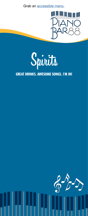Grab an [accessible menu](https://www.carnival.com/~/media/Images/explore/onboard/bars/menus/piano-bar-88-menu-accessible.pdf).





## GREAT DRINKS. AWESOME SONGS. I'M IN!

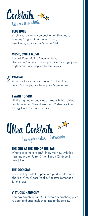

#### BLUE NOTE

A sultry yet dynamic composition of Skyy Vodka, Bombay Original Gin, Bacardi Rum, Blue Curaçao, sour mix & Sierra Mist.

#### MUSIC, SWEET MUSIC

Bacardi Rum, Malibu Coconut Rum, Disaronno Amaretto, pineapple juice & orange juice. Rhythm and tone inspired by the tropics.



#### RAGTIME

A harmonious chorus of Bacardi Spiced Rum, Peach Schnapps, cranberry juice & grenadine.

#### I WANT TO SING

Hit the high notes and stay on key with this spirited combination of Absolut Raspberri Vodka, Rockstar Energy Drink & cranberry juice.



# Like regular cocktails. But swankier.

#### THE GIRL AT THE END OF THE BAR

What else is there to say? Enjoy the view with this inspiring trio of Patrón Silver, Patrón Citrónge & lime juice.

#### THE ROCKSTAR

Rock the keys with this premium yet down-to-earth chord of Grey Goose Vodka, Rockstar Lemonade & lime juice.

#### VIRTUOUS HARMONY

Bombay Sapphire Gin, St. Germain & cranberry juice. A clean and crisp melody to inspire the senses.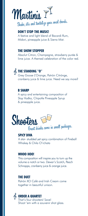

#### DON'T STOP THE MUSIC!

A festive and light blend of Bacardi Rum, Midori, pineapple juice & Sierra Mist.

#### THE SHOW STOPPER

Absolut Citron, Champagne, strawberry purée & lime juice. A themed celebration of the color red.



# **& THE STANDING "O"**

Grey Goose L'Orange, Patrón Citrónge, cranberry juice & lime juice. Need we say more?

#### B SHARP

A spicy and entertaining composition of Skyy Vodka, Chipotle Pineapple Syrup & pineapple juice.



#### SPICY DIVA

A star- studded yet spicy combination of Fireball Whiskey & Chila O'rchata

#### WHOO HOO!

This composition will inspire you to turn up the volume a notch or two. Dewar's Scotch, Peach Schnapps, cranberry juice & orange juice.

#### THE DUET

Patrón XO Café and Irish Cream come together in beautiful unison.

### **S** ORDER A QUARTET

That's four shooters! Save! Shoot 'em with a souvenir shot glass.